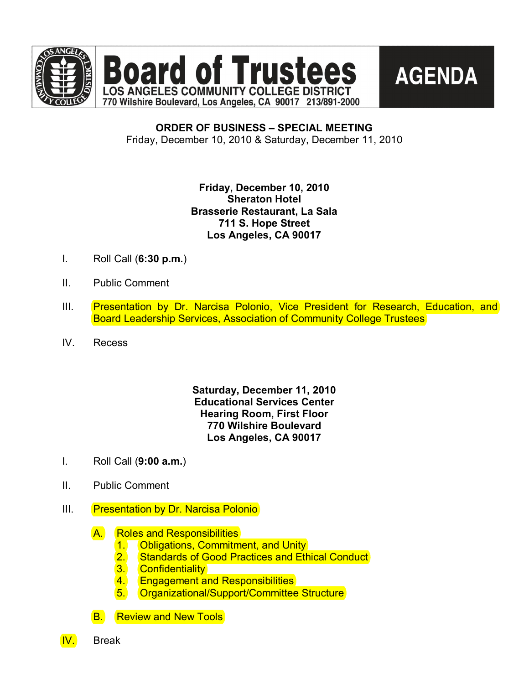





**ORDER OF BUSINESS – SPECIAL MEETING** Friday, December 10, 2010 & Saturday, December 11, 2010

# **Friday, December 10, 2010 Sheraton Hotel Brasserie Restaurant, La Sala 711 S. Hope Street Los Angeles, CA 90017**

- I. Roll Call (**6:30 p.m.**)
- II. Public Comment
- III. Presentation by Dr. Narcisa Polonio, Vice President for Research, Education, and Board Leadership Services, Association of Community College Trustees
- IV. Recess

## **Saturday, December 11, 2010 Educational Services Center Hearing Room, First Floor 770 Wilshire Boulevard Los Angeles, CA 90017**

- I. Roll Call (**9:00 a.m.**)
- II. Public Comment
- III. Presentation by Dr. Narcisa Polonio
	- A. Roles and Responsibilities
		- 1. **Obligations, Commitment, and Unity**
		- 2. Standards of Good Practices and Ethical Conduct
		- 3. Confidentiality
		- 4. **Engagement and Responsibilities**
		- 5. Organizational/Support/Committee Structure

**B.** Review and New Tools



IV. Break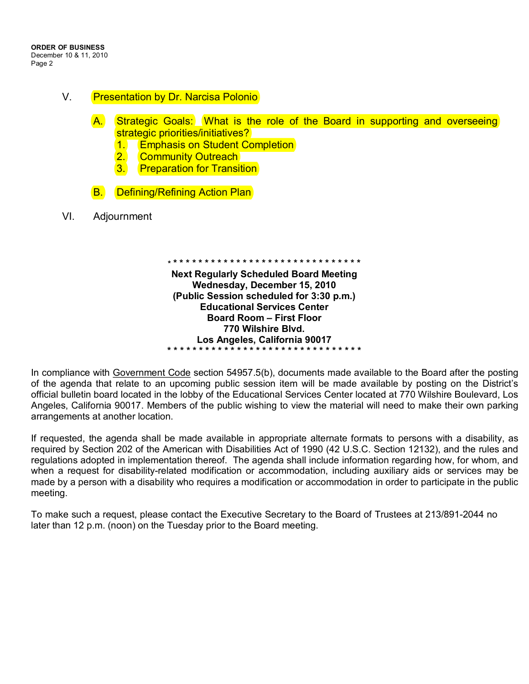- V. **Presentation by Dr. Narcisa Polonio** 
	- A. Strategic Goals: What is the role of the Board in supporting and overseeing strategic priorities/initiatives?
		- 1. **Emphasis on Student Completion**
		- 2. Community Outreach
		- 3. **Preparation for Transition**
	- **B.** Defining/Refining Action Plan
- VI. Adjournment

**\* \* \* \* \* \* \* \* \* \* \* \* \* \* \* \* \* \* \* \* \* \* \* \* \* \* \* \* \* \* \* Next Regularly Scheduled Board Meeting Wednesday, December 15, 2010 (Public Session scheduled for 3:30 p.m.) Educational Services Center Board Room – First Floor 770 Wilshire Blvd. Los Angeles, California 90017 \* \* \* \* \* \* \* \* \* \* \* \* \* \* \* \* \* \* \* \* \* \* \* \* \* \* \* \* \* \* \***

In compliance with Government Code section 54957.5(b), documents made available to the Board after the posting of the agenda that relate to an upcoming public session item will be made available by posting on the District's official bulletin board located in the lobby of the Educational Services Center located at 770 Wilshire Boulevard, Los Angeles, California 90017. Members of the public wishing to view the material will need to make their own parking arrangements at another location.

If requested, the agenda shall be made available in appropriate alternate formats to persons with a disability, as required by Section 202 of the American with Disabilities Act of 1990 (42 U.S.C. Section 12132), and the rules and regulations adopted in implementation thereof. The agenda shall include information regarding how, for whom, and when a request for disability-related modification or accommodation, including auxiliary aids or services may be made by a person with a disability who requires a modification or accommodation in order to participate in the public meeting.

To make such a request, please contact the Executive Secretary to the Board of Trustees at 213/891-2044 no later than 12 p.m. (noon) on the Tuesday prior to the Board meeting.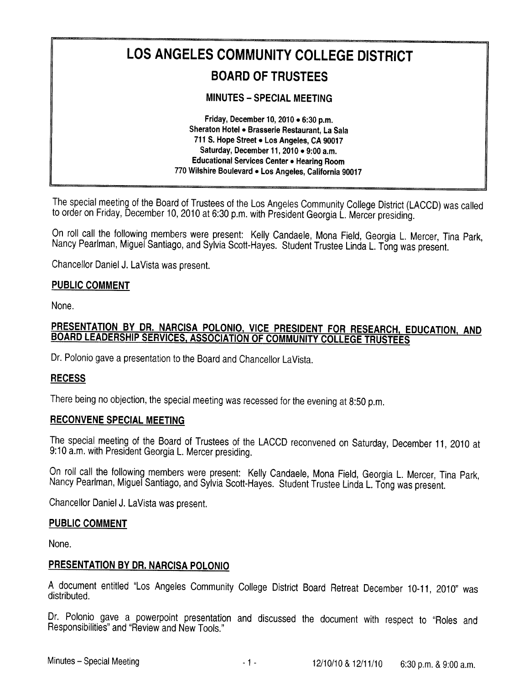# LOS ANGELES COMMUNITY COLLEGE DISTRICT **BOARD OF TRUSTEES**

**MINUTES - SPECIAL MEETING** 

Friday, December 10, 2010 . 6:30 p.m. Sheraton Hotel . Brasserie Restaurant, La Sala 711 S. Hope Street . Los Angeles, CA 90017 Saturday, December 11, 2010 . 9:00 a.m. Educational Services Center . Hearing Room 770 Wilshire Boulevard . Los Angeles, California 90017

The special meeting of the Board of Trustees of the Los Angeles Community College District (LACCD) was called to order on Friday, December 10, 2010 at 6:30 p.m. with President Georgia L. Mercer presiding.

On roll call the following members were present: Kelly Candaele, Mona Field, Georgia L. Mercer, Tina Park, Nancy Pearlman, Miguel Santiago, and Sylvia Scott-Hayes. Student Trustee Linda L. Tong was present.

Chancellor Daniel J. LaVista was present.

#### **PUBLIC COMMENT**

None.

# PRESENTATION BY DR. NARCISA POLONIO, VICE PRESIDENT FOR RESEARCH, EDUCATION, AND **BOARD LEADERSHIP SERVICES, ASSOCIATION OF COMMUNITY COLLEGE TRUSTEES**

Dr. Polonio gave a presentation to the Board and Chancellor LaVista.

#### **RECESS**

There being no objection, the special meeting was recessed for the evening at 8:50 p.m.

#### **RECONVENE SPECIAL MEETING**

The special meeting of the Board of Trustees of the LACCD reconvened on Saturday, December 11, 2010 at 9:10 a.m. with President Georgia L. Mercer presiding.

On roll call the following members were present: Kelly Candaele, Mona Field, Georgia L. Mercer, Tina Park, Nancy Pearlman, Miguel Santiago, and Sylvia Scott-Hayes. Student Trustee Linda L. Tong was present.

Chancellor Daniel J. LaVista was present.

#### **PUBLIC COMMENT**

None.

#### PRESENTATION BY DR. NARCISA POLONIO

A document entitled "Los Angeles Community College District Board Retreat December 10-11, 2010" was distributed.

Dr. Polonio gave a powerpoint presentation and discussed the document with respect to "Roles and Responsibilities" and "Review and New Tools."

 $-1-$